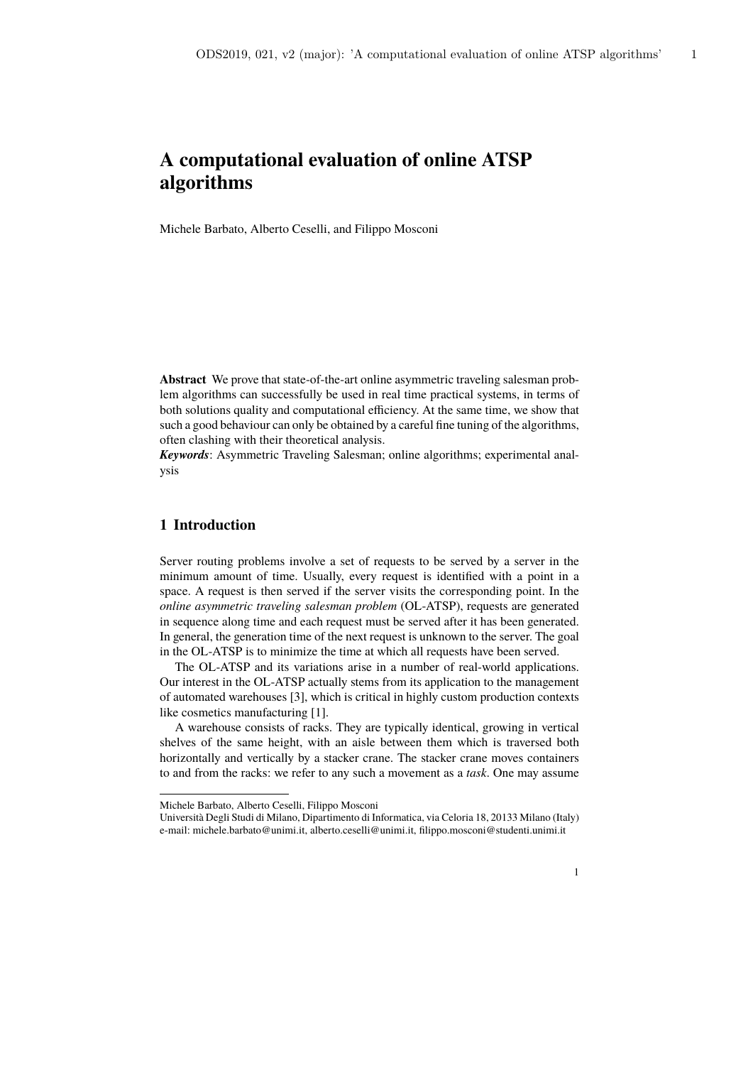# **A computational evaluation of online ATSP algorithms**

Michele Barbato, Alberto Ceselli, and Filippo Mosconi

**Abstract** We prove that state-of-the-art online asymmetric traveling salesman problem algorithms can successfully be used in real time practical systems, in terms of both solutions quality and computational efficiency. At the same time, we show that such a good behaviour can only be obtained by a careful fine tuning of the algorithms, often clashing with their theoretical analysis.

*Keywords*: Asymmetric Traveling Salesman; online algorithms; experimental analysis

# **1 Introduction**

Server routing problems involve a set of requests to be served by a server in the minimum amount of time. Usually, every request is identified with a point in a space. A request is then served if the server visits the corresponding point. In the *online asymmetric traveling salesman problem* (OL-ATSP), requests are generated in sequence along time and each request must be served after it has been generated. In general, the generation time of the next request is unknown to the server. The goal in the OL-ATSP is to minimize the time at which all requests have been served.

The OL-ATSP and its variations arise in a number of real-world applications. Our interest in the OL-ATSP actually stems from its application to the management of automated warehouses [3], which is critical in highly custom production contexts like cosmetics manufacturing [1].

A warehouse consists of racks. They are typically identical, growing in vertical shelves of the same height, with an aisle between them which is traversed both horizontally and vertically by a stacker crane. The stacker crane moves containers to and from the racks: we refer to any such a movement as a *task*. One may assume

Michele Barbato, Alberto Ceselli, Filippo Mosconi

Università Degli Studi di Milano, Dipartimento di Informatica, via Celoria 18, 20133 Milano (Italy) e-mail: michele.barbato@unimi.it, alberto.ceselli@unimi.it, filippo.mosconi@studenti.unimi.it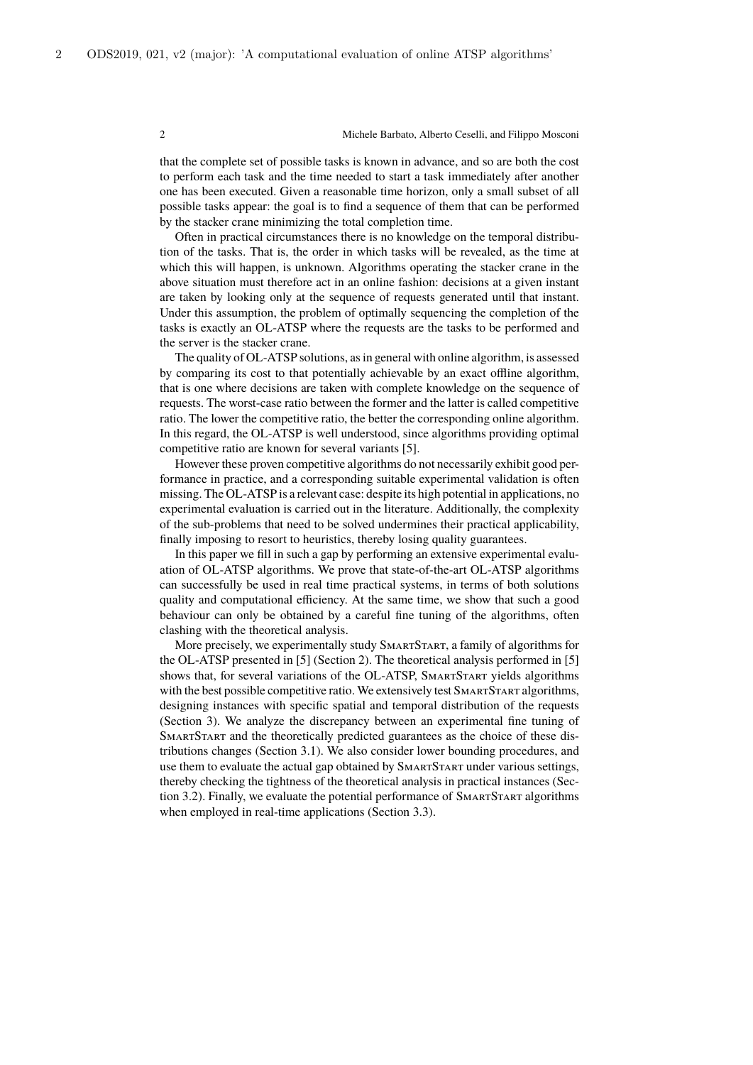that the complete set of possible tasks is known in advance, and so are both the cost to perform each task and the time needed to start a task immediately after another one has been executed. Given a reasonable time horizon, only a small subset of all possible tasks appear: the goal is to find a sequence of them that can be performed by the stacker crane minimizing the total completion time.

Often in practical circumstances there is no knowledge on the temporal distribution of the tasks. That is, the order in which tasks will be revealed, as the time at which this will happen, is unknown. Algorithms operating the stacker crane in the above situation must therefore act in an online fashion: decisions at a given instant are taken by looking only at the sequence of requests generated until that instant. Under this assumption, the problem of optimally sequencing the completion of the tasks is exactly an OL-ATSP where the requests are the tasks to be performed and the server is the stacker crane.

The quality of OL-ATSP solutions, as in general with online algorithm, is assessed by comparing its cost to that potentially achievable by an exact offline algorithm, that is one where decisions are taken with complete knowledge on the sequence of requests. The worst-case ratio between the former and the latter is called competitive ratio. The lower the competitive ratio, the better the corresponding online algorithm. In this regard, the OL-ATSP is well understood, since algorithms providing optimal competitive ratio are known for several variants [5].

However these proven competitive algorithms do not necessarily exhibit good performance in practice, and a corresponding suitable experimental validation is often missing. The OL-ATSP is a relevant case: despite its high potential in applications, no experimental evaluation is carried out in the literature. Additionally, the complexity of the sub-problems that need to be solved undermines their practical applicability, finally imposing to resort to heuristics, thereby losing quality guarantees.

In this paper we fill in such a gap by performing an extensive experimental evaluation of OL-ATSP algorithms. We prove that state-of-the-art OL-ATSP algorithms can successfully be used in real time practical systems, in terms of both solutions quality and computational efficiency. At the same time, we show that such a good behaviour can only be obtained by a careful fine tuning of the algorithms, often clashing with the theoretical analysis.

More precisely, we experimentally study SmartStart, a family of algorithms for the OL-ATSP presented in [5] (Section 2). The theoretical analysis performed in [5] shows that, for several variations of the OL-ATSP, SMARTSTART yields algorithms with the best possible competitive ratio. We extensively test SMARTSTART algorithms, designing instances with specific spatial and temporal distribution of the requests (Section 3). We analyze the discrepancy between an experimental fine tuning of SmartStart and the theoretically predicted guarantees as the choice of these distributions changes (Section 3.1). We also consider lower bounding procedures, and use them to evaluate the actual gap obtained by SmartStart under various settings, thereby checking the tightness of the theoretical analysis in practical instances (Section 3.2). Finally, we evaluate the potential performance of SMARTSTART algorithms when employed in real-time applications (Section 3.3).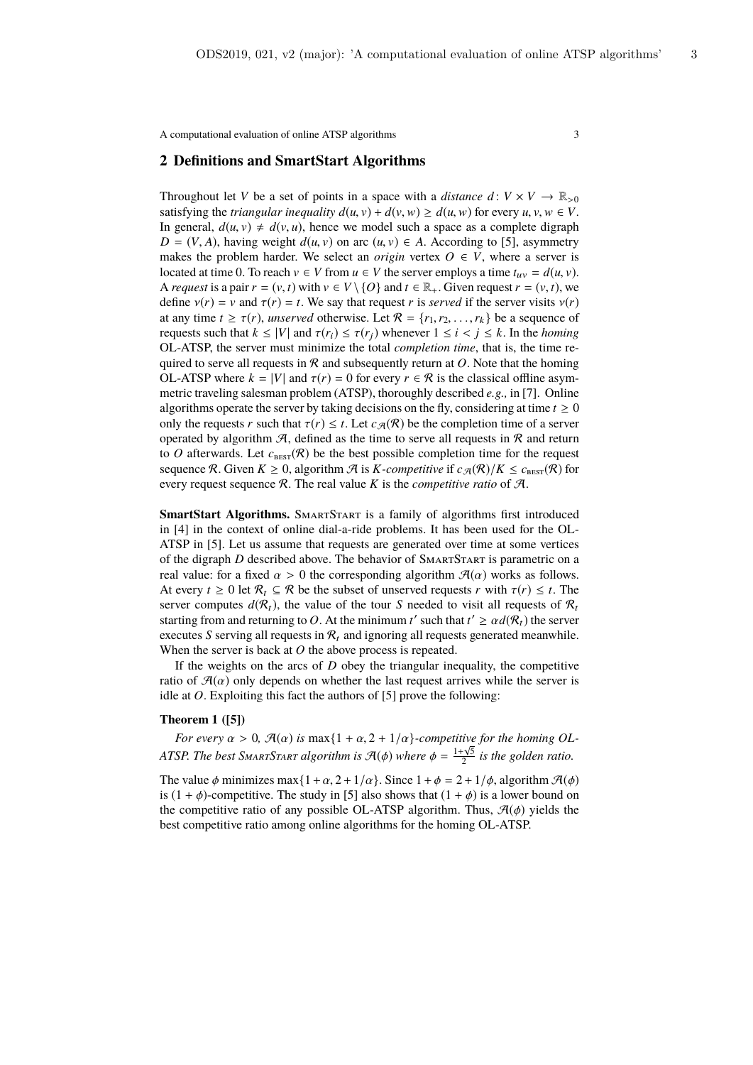A computational evaluation of online ATSP algorithms 3

# **2 Definitions and SmartStart Algorithms**

Throughout let *V* be a set of points in a space with a *distance*  $d: V \times V \rightarrow \mathbb{R}_{>0}$ satisfying the *triangular inequality*  $d(u, v) + d(v, w) \ge d(u, w)$  for every  $u, v, w \in V$ . In general,  $d(u, v) \neq d(v, u)$ , hence we model such a space as a complete digraph  $D = (V, A)$ , having weight  $d(u, v)$  on arc  $(u, v) \in A$ . According to [5], asymmetry makes the problem harder. We select an *origin* vertex  $O \in V$ , where a server is located at time 0. To reach  $v \in V$  from  $u \in V$  the server employs a time  $t_{uv} = d(u, v)$ . A *request* is a pair  $r = (v, t)$  with  $v \in V \setminus \{O\}$  and  $t \in \mathbb{R}_+$ . Given request  $r = (v, t)$ , we define  $v(r) = v$  and  $\tau(r) = t$ . We say that request *r* is *served* if the server visits  $v(r)$ at any time  $t \geq \tau(r)$ , *unserved* otherwise. Let  $\mathcal{R} = \{r_1, r_2, \ldots, r_k\}$  be a sequence of requests such that  $k \leq |V|$  and  $\tau(r_i) \leq \tau(r_i)$  whenever  $1 \leq i \leq j \leq k$ . In the *homing* OL-ATSP, the server must minimize the total *completion time*, that is, the time required to serve all requests in  $R$  and subsequently return at  $O$ . Note that the homing OL-ATSP where  $k = |V|$  and  $\tau(r) = 0$  for every  $r \in \mathcal{R}$  is the classical offline asymmetric traveling salesman problem (ATSP), thoroughly described *e.g.,* in [7]. Online algorithms operate the server by taking decisions on the fly, considering at time  $t \geq 0$ only the requests *r* such that  $\tau(r) \leq t$ . Let  $c_{\mathcal{A}}(\mathcal{R})$  be the completion time of a server operated by algorithm  $\mathcal{A}$ , defined as the time to serve all requests in  $\mathcal{R}$  and return to *O* afterwards. Let  $c_{\text{best}}(\mathcal{R})$  be the best possible completion time for the request sequence R. Given  $K \geq 0$ , algorithm A is *K-competitive* if  $c_{\mathcal{A}}(\mathcal{R})/K \leq c_{\text{best}}(\mathcal{R})$  for every request sequence R. The real value *K* is the *competitive ratio* of A.

**SmartStart Algorithms.** SmartStart is a family of algorithms first introduced in [4] in the context of online dial-a-ride problems. It has been used for the OL-ATSP in [5]. Let us assume that requests are generated over time at some vertices of the digraph *D* described above. The behavior of SMARTSTART is parametric on a real value: for a fixed  $\alpha > 0$  the corresponding algorithm  $\mathcal{A}(\alpha)$  works as follows. At every  $t \ge 0$  let  $\mathcal{R}_t \subseteq \mathcal{R}$  be the subset of unserved requests *r* with  $\tau(r) \le t$ . The server computes  $d(\mathcal{R}_t)$ , the value of the tour *S* needed to visit all requests of  $\mathcal{R}_t$ starting from and returning to *O*. At the minimum *t'* such that  $t' \geq \alpha d(R_t)$  the server executes *S* serving all requests in  $\mathcal{R}_t$  and ignoring all requests generated meanwhile. When the server is back at *O* the above process is repeated.

If the weights on the arcs of  $D$  obey the triangular inequality, the competitive ratio of  $\mathcal{A}(\alpha)$  only depends on whether the last request arrives while the server is idle at *O*. Exploiting this fact the authors of [5] prove the following:

## **Theorem 1 ([5])**

*For every*  $\alpha > 0$ ,  $\mathcal{A}(\alpha)$  *is* max $\{1 + \alpha, 2 + 1/\alpha\}$ *-competitive for the homing OL-ATSP. The best SMARTSTART algorithm is*  $\mathcal{A}(\phi)$  *where*  $\phi = \frac{1+\sqrt{5}}{2}$  *is the golden ratio.* 

The value  $\phi$  minimizes max {1 +  $\alpha$ , 2 + 1/ $\alpha$ }. Since 1 +  $\phi$  = 2 + 1/ $\phi$ , algorithm  $\mathcal{A}(\phi)$ is  $(1 + \phi)$ -competitive. The study in [5] also shows that  $(1 + \phi)$  is a lower bound on the competitive ratio of any possible OL-ATSP algorithm. Thus,  $\mathcal{A}(\phi)$  yields the best competitive ratio among online algorithms for the homing OL-ATSP.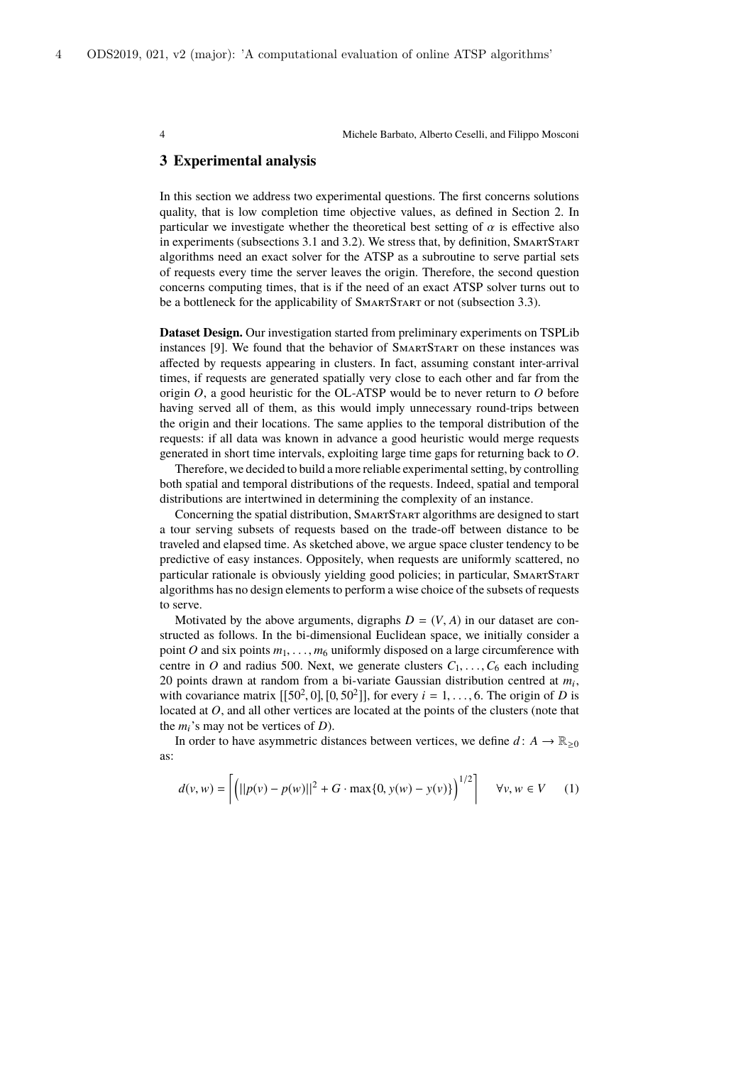# **3 Experimental analysis**

In this section we address two experimental questions. The first concerns solutions quality, that is low completion time objective values, as defined in Section 2. In particular we investigate whether the theoretical best setting of  $\alpha$  is effective also in experiments (subsections 3.1 and 3.2). We stress that, by definition, SMARTSTART algorithms need an exact solver for the ATSP as a subroutine to serve partial sets of requests every time the server leaves the origin. Therefore, the second question concerns computing times, that is if the need of an exact ATSP solver turns out to be a bottleneck for the applicability of SMARTSTART or not (subsection 3.3).

**Dataset Design.** Our investigation started from preliminary experiments on TSPLib instances [9]. We found that the behavior of SmartStart on these instances was affected by requests appearing in clusters. In fact, assuming constant inter-arrival times, if requests are generated spatially very close to each other and far from the origin *O*, a good heuristic for the OL-ATSP would be to never return to *O* before having served all of them, as this would imply unnecessary round-trips between the origin and their locations. The same applies to the temporal distribution of the requests: if all data was known in advance a good heuristic would merge requests generated in short time intervals, exploiting large time gaps for returning back to *O*.

Therefore, we decided to build a more reliable experimental setting, by controlling both spatial and temporal distributions of the requests. Indeed, spatial and temporal distributions are intertwined in determining the complexity of an instance.

Concerning the spatial distribution, SmartStart algorithms are designed to start a tour serving subsets of requests based on the trade-off between distance to be traveled and elapsed time. As sketched above, we argue space cluster tendency to be predictive of easy instances. Oppositely, when requests are uniformly scattered, no particular rationale is obviously yielding good policies; in particular, SMARTSTART algorithms has no design elements to perform a wise choice of the subsets of requests to serve.

Motivated by the above arguments, digraphs  $D = (V, A)$  in our dataset are constructed as follows. In the bi-dimensional Euclidean space, we initially consider a point *O* and six points  $m_1, \ldots, m_6$  uniformly disposed on a large circumference with centre in *O* and radius 500. Next, we generate clusters  $C_1, \ldots, C_6$  each including 20 points drawn at random from a bi-variate Gaussian distribution centred at  $m_i$ , with covariance matrix  $[[50^2, 0], [0, 50^2]],$  for every  $i = 1, ..., 6$ . The origin of *D* is located at *O*, and all other vertices are located at the points of the clusters (note that the  $m_i$ 's may not be vertices of *D*).

In order to have asymmetric distances between vertices, we define  $d: A \to \mathbb{R}_{\geq 0}$ as:

$$
d(v, w) = \left[ \left( ||p(v) - p(w)||^2 + G \cdot \max\{0, y(w) - y(v)\} \right)^{1/2} \right] \quad \forall v, w \in V \quad (1)
$$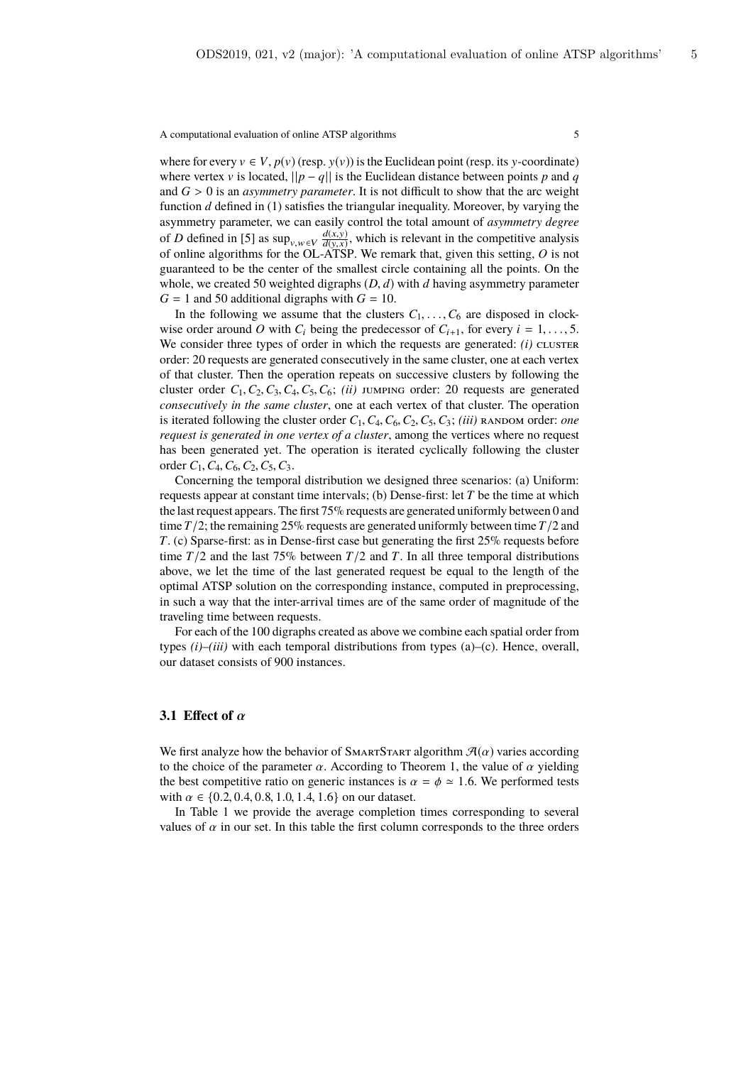A computational evaluation of online ATSP algorithms 5

where for every  $v \in V$ ,  $p(v)$  (resp.  $y(v)$ ) is the Euclidean point (resp. its y-coordinate) where vertex v is located,  $||p - q||$  is the Euclidean distance between points p and q and  $G > 0$  is an *asymmetry parameter*. It is not difficult to show that the arc weight function *d* defined in (1) satisfies the triangular inequality. Moreover, by varying the asymmetry parameter, we can easily control the total amount of *asymmetry degree* of *D* defined in [5] as  $\sup_{v,w \in V} \frac{d(x,y)}{d(y,x)}$  $\frac{d(x,y)}{d(x,x)}$ , which is relevant in the competitive analysis of online algorithms for the OL-ATSP. We remark that, given this setting, *O* is not guaranteed to be the center of the smallest circle containing all the points. On the whole, we created 50 weighted digraphs (*D*, *d*) with *d* having asymmetry parameter  $G = 1$  and 50 additional digraphs with  $G = 10$ .

In the following we assume that the clusters  $C_1, \ldots, C_6$  are disposed in clockwise order around *O* with  $C_i$  being the predecessor of  $C_{i+1}$ , for every  $i = 1, \ldots, 5$ . We consider three types of order in which the requests are generated:  $(i)$  CLUSTER order: 20 requests are generated consecutively in the same cluster, one at each vertex of that cluster. Then the operation repeats on successive clusters by following the cluster order  $C_1$ ,  $C_2$ ,  $C_3$ ,  $C_4$ ,  $C_5$ ,  $C_6$ ; *(ii)* JUMPING order: 20 requests are generated *consecutively in the same cluster*, one at each vertex of that cluster. The operation is iterated following the cluster order  $C_1$ ,  $C_4$ ,  $C_6$ ,  $C_2$ ,  $C_5$ ,  $C_3$ ; *(iii)* RANDOM order: *one request is generated in one vertex of a cluster*, among the vertices where no request has been generated yet. The operation is iterated cyclically following the cluster order *C*1,*C*4,*C*6,*C*2,*C*5,*C*3.

Concerning the temporal distribution we designed three scenarios: (a) Uniform: requests appear at constant time intervals; (b) Dense-first: let *T* be the time at which the last request appears. The first 75% requests are generated uniformly between 0 and time  $T/2$ ; the remaining 25% requests are generated uniformly between time  $T/2$  and *T*. (c) Sparse-first: as in Dense-first case but generating the first 25% requests before time  $T/2$  and the last 75% between  $T/2$  and *T*. In all three temporal distributions above, we let the time of the last generated request be equal to the length of the optimal ATSP solution on the corresponding instance, computed in preprocessing, in such a way that the inter-arrival times are of the same order of magnitude of the traveling time between requests.

For each of the 100 digraphs created as above we combine each spatial order from types *(i)*–*(iii)* with each temporal distributions from types (a)–(c). Hence, overall, our dataset consists of 900 instances.

# **3.1 Effect of** α

We first analyze how the behavior of SMARTSTART algorithm  $\mathcal{A}(\alpha)$  varies according to the choice of the parameter  $\alpha$ . According to Theorem 1, the value of  $\alpha$  yielding the best competitive ratio on generic instances is  $\alpha = \phi \approx 1.6$ . We performed tests with  $\alpha \in \{0.2, 0.4, 0.8, 1.0, 1.4, 1.6\}$  on our dataset.

In Table 1 we provide the average completion times corresponding to several values of  $\alpha$  in our set. In this table the first column corresponds to the three orders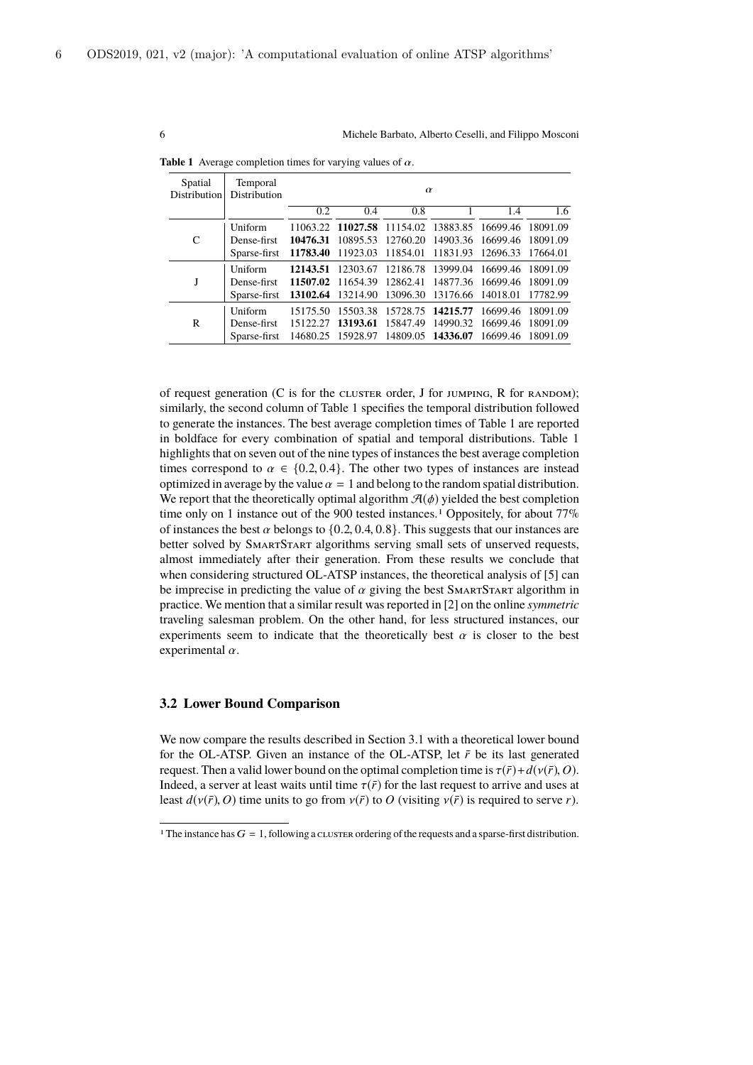| Spatial<br>Distribution | Temporal<br><b>Distribution</b> | $\alpha$          |                   |                            |                   |                                     |          |  |  |
|-------------------------|---------------------------------|-------------------|-------------------|----------------------------|-------------------|-------------------------------------|----------|--|--|
|                         |                                 | 0.2               | 0.4               | 0.8                        |                   | 1.4                                 | 1.6      |  |  |
| C                       | Uniform                         |                   | 11063.22 11027.58 | 11154.02 13883.85 16699.46 |                   |                                     | 18091.09 |  |  |
|                         | Dense-first                     | 10476.31          | 10895.53          | 12760.20                   | 14903.36 16699.46 |                                     | 18091.09 |  |  |
|                         | Sparse-first                    | 11783.40          | 11923.03          | 11854.01 11831.93          |                   | 12696.33 17664.01                   |          |  |  |
| J                       | Uniform                         | 12143.51          | 12303.67          | 12186.78 13999.04 16699.46 |                   |                                     | 18091.09 |  |  |
|                         | Dense-first                     | 11507.02          | 11654.39          |                            |                   | 12862.41 14877.36 16699.46 18091.09 |          |  |  |
|                         | Sparse-first                    |                   | 13102.64 13214.90 | 13096.30 13176.66 14018.01 |                   |                                     | 17782.99 |  |  |
| R                       | Uniform                         | 15175.50          | 15503.38          | 15728.75 14215.77 16699.46 |                   |                                     | 18091.09 |  |  |
|                         | Dense-first                     | 15122.27          | 13193.61          | 15847.49                   | 14990.32          | 16699.46                            | 18091.09 |  |  |
|                         | Sparse-first                    | 14680.25 15928.97 |                   |                            |                   | 14809.05 14336.07 16699.46 18091.09 |          |  |  |

**Table 1** Average completion times for varying values of  $\alpha$ .

of request generation  $(C$  is for the CLUSTER order, J for JUMPING, R for RANDOM); similarly, the second column of Table 1 specifies the temporal distribution followed to generate the instances. The best average completion times of Table 1 are reported in boldface for every combination of spatial and temporal distributions. Table 1 highlights that on seven out of the nine types of instances the best average completion times correspond to  $\alpha \in \{0.2, 0.4\}$ . The other two types of instances are instead optimized in average by the value  $\alpha = 1$  and belong to the random spatial distribution. We report that the theoretically optimal algorithm  $\mathcal{A}(\phi)$  yielded the best completion time only on 1 instance out of the 900 tested instances.1 Oppositely, for about 77% of instances the best  $\alpha$  belongs to {0.2, 0.4, 0.8}. This suggests that our instances are better solved by SMARTSTART algorithms serving small sets of unserved requests, almost immediately after their generation. From these results we conclude that when considering structured OL-ATSP instances, the theoretical analysis of [5] can be imprecise in predicting the value of  $\alpha$  giving the best SMARTSTART algorithm in practice. We mention that a similar result was reported in [2] on the online *symmetric* traveling salesman problem. On the other hand, for less structured instances, our experiments seem to indicate that the theoretically best  $\alpha$  is closer to the best experimental  $\alpha$ .

## **3.2 Lower Bound Comparison**

We now compare the results described in Section 3.1 with a theoretical lower bound for the OL-ATSP. Given an instance of the OL-ATSP, let  $\bar{r}$  be its last generated request. Then a valid lower bound on the optimal completion time is  $τ(τ) + d(ν(τ), O)$ . Indeed, a server at least waits until time  $\tau(\bar{r})$  for the last request to arrive and uses at least  $d(v(\bar{r}), O)$  time units to go from  $v(\bar{r})$  to *O* (visiting  $v(\bar{r})$  is required to serve *r*).

<sup>&</sup>lt;sup>1</sup> The instance has  $G = 1$ , following a cluster ordering of the requests and a sparse-first distribution.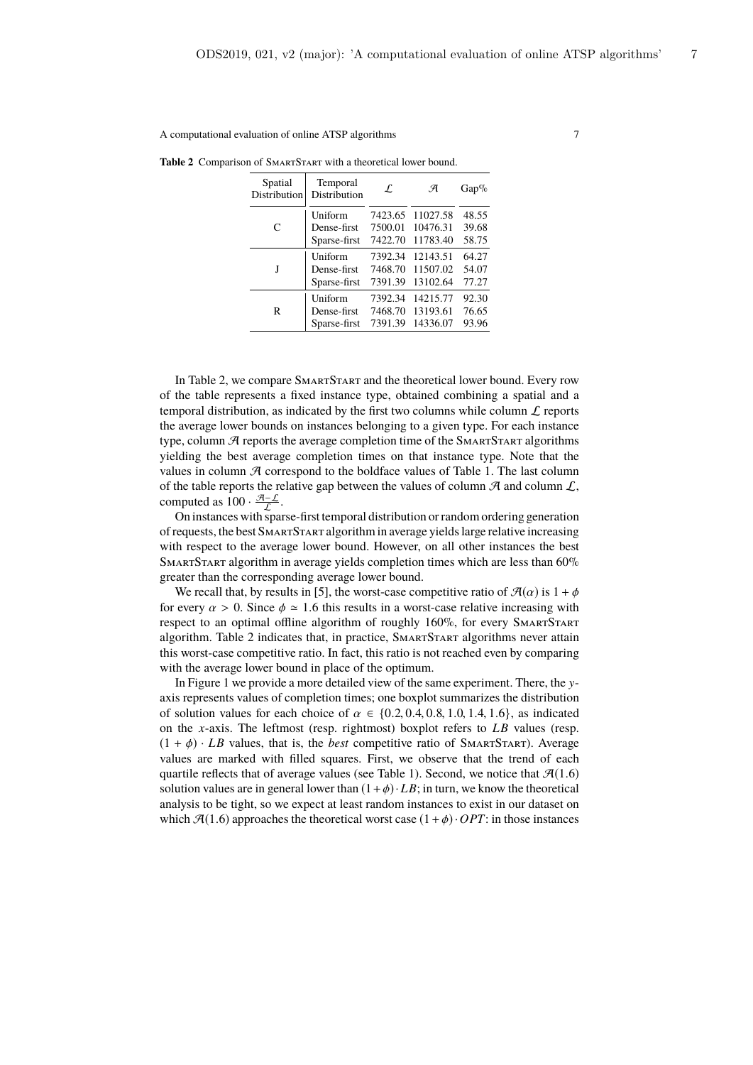A computational evaluation of online ATSP algorithms  $\frac{7}{2}$ 

| Spatial<br>Distribution | Temporal<br>Distribution | L       | A        | $Gap\%$ |
|-------------------------|--------------------------|---------|----------|---------|
| C                       | Uniform                  | 7423.65 | 11027.58 | 48.55   |
|                         | Dense-first              | 7500.01 | 10476.31 | 39.68   |
|                         | Sparse-first             | 7422.70 | 11783.40 | 58.75   |
| J                       | Uniform                  | 7392.34 | 12143.51 | 64.27   |
|                         | Dense-first              | 7468.70 | 11507.02 | 54.07   |
|                         | Sparse-first             | 7391.39 | 13102.64 | 77.27   |
| R                       | Uniform                  | 7392.34 | 14215.77 | 92.30   |
|                         | Dense-first              | 7468.70 | 13193.61 | 76.65   |
|                         | Sparse-first             | 7391.39 | 14336.07 | 93.96   |

Table 2 Comparison of SMARTSTART with a theoretical lower bound.

In Table 2, we compare SmartStart and the theoretical lower bound. Every row of the table represents a fixed instance type, obtained combining a spatial and a temporal distribution, as indicated by the first two columns while column  $\mathcal L$  reports the average lower bounds on instances belonging to a given type. For each instance type, column  $\mathcal A$  reports the average completion time of the SMARTSTART algorithms yielding the best average completion times on that instance type. Note that the values in column  $\mathcal A$  correspond to the boldface values of Table 1. The last column of the table reports the relative gap between the values of column  $\mathcal A$  and column  $\mathcal L$ , computed as  $100 \cdot \frac{\mathcal{A} - \mathcal{L}}{\mathcal{L}}$ .

L On instances with sparse-first temporal distribution or random ordering generation of requests, the best SmartStart algorithm in average yields large relative increasing with respect to the average lower bound. However, on all other instances the best SmartStart algorithm in average yields completion times which are less than 60% greater than the corresponding average lower bound.

We recall that, by results in [5], the worst-case competitive ratio of  $\mathcal{A}(\alpha)$  is  $1 + \phi$ for every  $\alpha > 0$ . Since  $\phi \simeq 1.6$  this results in a worst-case relative increasing with respect to an optimal offline algorithm of roughly 160%, for every SMARTSTART algorithm. Table 2 indicates that, in practice, SmartStart algorithms never attain this worst-case competitive ratio. In fact, this ratio is not reached even by comparing with the average lower bound in place of the optimum.

In Figure 1 we provide a more detailed view of the same experiment. There, the yaxis represents values of completion times; one boxplot summarizes the distribution of solution values for each choice of  $\alpha \in \{0.2, 0.4, 0.8, 1.0, 1.4, 1.6\}$ , as indicated on the *x*-axis. The leftmost (resp. rightmost) boxplot refers to *LB* values (resp.  $(1 + \phi) \cdot LB$  values, that is, the *best* competitive ratio of SMARTSTART). Average values are marked with filled squares. First, we observe that the trend of each quartile reflects that of average values (see Table 1). Second, we notice that  $\mathcal{A}(1.6)$ solution values are in general lower than  $(1+\phi) \cdot LB$ ; in turn, we know the theoretical analysis to be tight, so we expect at least random instances to exist in our dataset on which  $\mathcal{A}(1.6)$  approaches the theoretical worst case  $(1+\phi) \cdot OPT$ : in those instances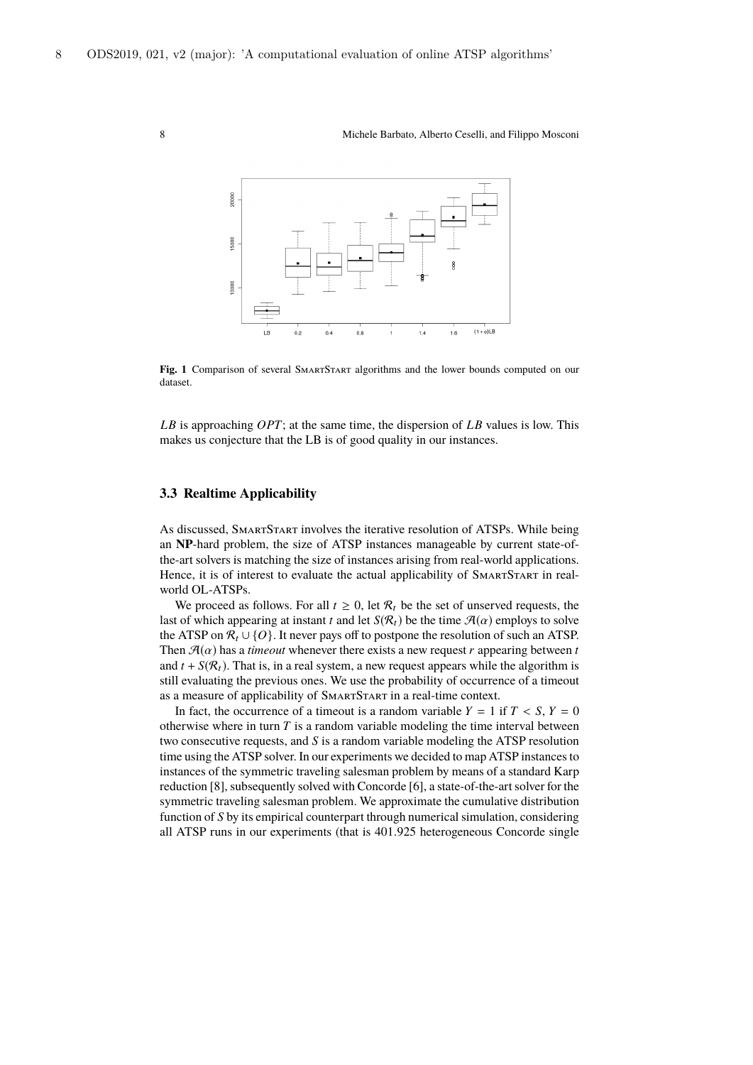

**Fig. 1** Comparison of several SmartStart algorithms and the lower bounds computed on our dataset.

*LB* is approaching *OPT*; at the same time, the dispersion of *LB* values is low. This makes us conjecture that the LB is of good quality in our instances.

# **3.3 Realtime Applicability**

As discussed, SmartStart involves the iterative resolution of ATSPs. While being an **NP**-hard problem, the size of ATSP instances manageable by current state-ofthe-art solvers is matching the size of instances arising from real-world applications. Hence, it is of interest to evaluate the actual applicability of SMARTSTART in realworld OL-ATSPs.

We proceed as follows. For all  $t \geq 0$ , let  $\mathcal{R}_t$  be the set of unserved requests, the last of which appearing at instant *t* and let  $S(\mathcal{R}_t)$  be the time  $\mathcal{A}(\alpha)$  employs to solve the ATSP on  $\mathcal{R}_t \cup \{O\}$ . It never pays off to postpone the resolution of such an ATSP. Then  $\mathcal{A}(\alpha)$  has a *timeout* whenever there exists a new request *r* appearing between *t* and  $t + S(\mathcal{R}_t)$ . That is, in a real system, a new request appears while the algorithm is still evaluating the previous ones. We use the probability of occurrence of a timeout as a measure of applicability of SmartStart in a real-time context.

In fact, the occurrence of a timeout is a random variable  $Y = 1$  if  $T < S$ ,  $Y = 0$ otherwise where in turn *T* is a random variable modeling the time interval between two consecutive requests, and *S* is a random variable modeling the ATSP resolution time using the ATSP solver. In our experiments we decided to map ATSP instances to instances of the symmetric traveling salesman problem by means of a standard Karp reduction [8], subsequently solved with Concorde [6], a state-of-the-art solver for the symmetric traveling salesman problem. We approximate the cumulative distribution function of *S* by its empirical counterpart through numerical simulation, considering all ATSP runs in our experiments (that is 401.925 heterogeneous Concorde single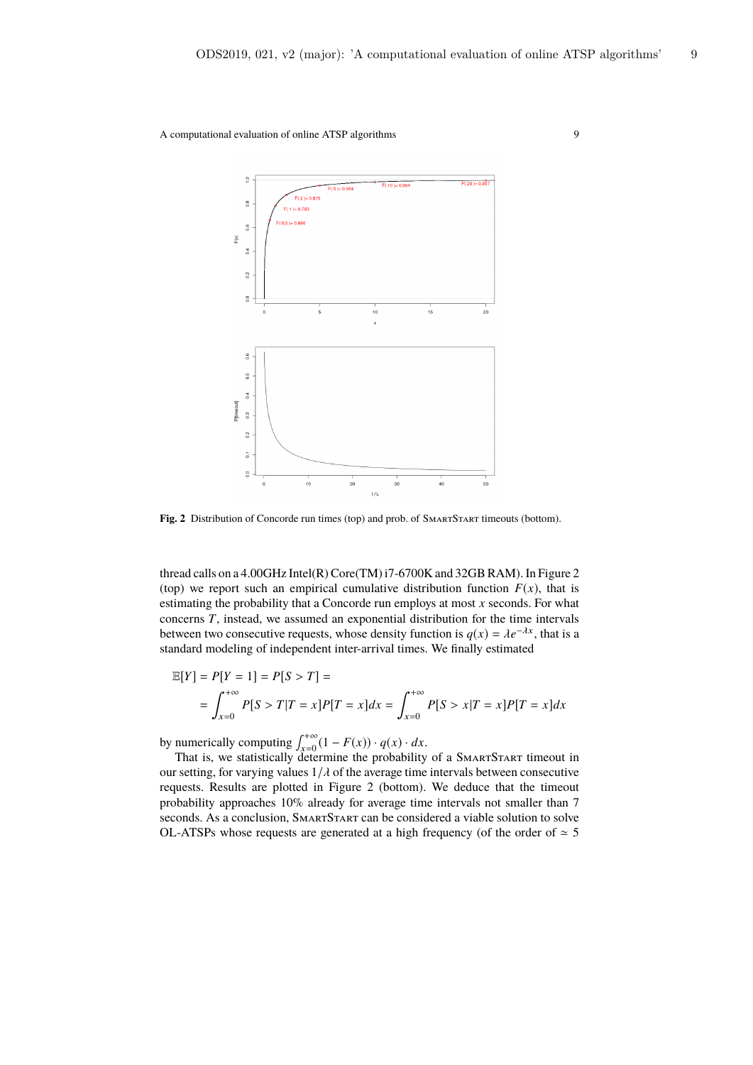#### A computational evaluation of online ATSP algorithms 9



Fig. 2 Distribution of Concorde run times (top) and prob. of SMARTSTART timeouts (bottom).

thread calls on a 4.00GHz Intel(R) Core(TM) i7-6700K and 32GB RAM). In Figure 2 (top) we report such an empirical cumulative distribution function  $F(x)$ , that is estimating the probability that a Concorde run employs at most *x* seconds. For what concerns *T*, instead, we assumed an exponential distribution for the time intervals between two consecutive requests, whose density function is  $q(x) = \lambda e^{-\lambda x}$ , that is a standard modeling of independent inter-arrival times. We finally estimated

$$
\mathbb{E}[Y] = P[Y = 1] = P[S > T] =
$$
  
=  $\int_{x=0}^{+\infty} P[S > T | T = x] P[T = x] dx = \int_{x=0}^{+\infty} P[S > x | T = x] P[T = x] dx$ 

by numerically computing  $\int_{x=0}^{+\infty} (1 - F(x)) \cdot q(x) \cdot dx$ .

That is, we statistically determine the probability of a SMARTSTART timeout in our setting, for varying values  $1/\lambda$  of the average time intervals between consecutive requests. Results are plotted in Figure 2 (bottom). We deduce that the timeout probability approaches 10% already for average time intervals not smaller than 7 seconds. As a conclusion, SMARTSTART can be considered a viable solution to solve OL-ATSPs whose requests are generated at a high frequency (of the order of  $\simeq$  5